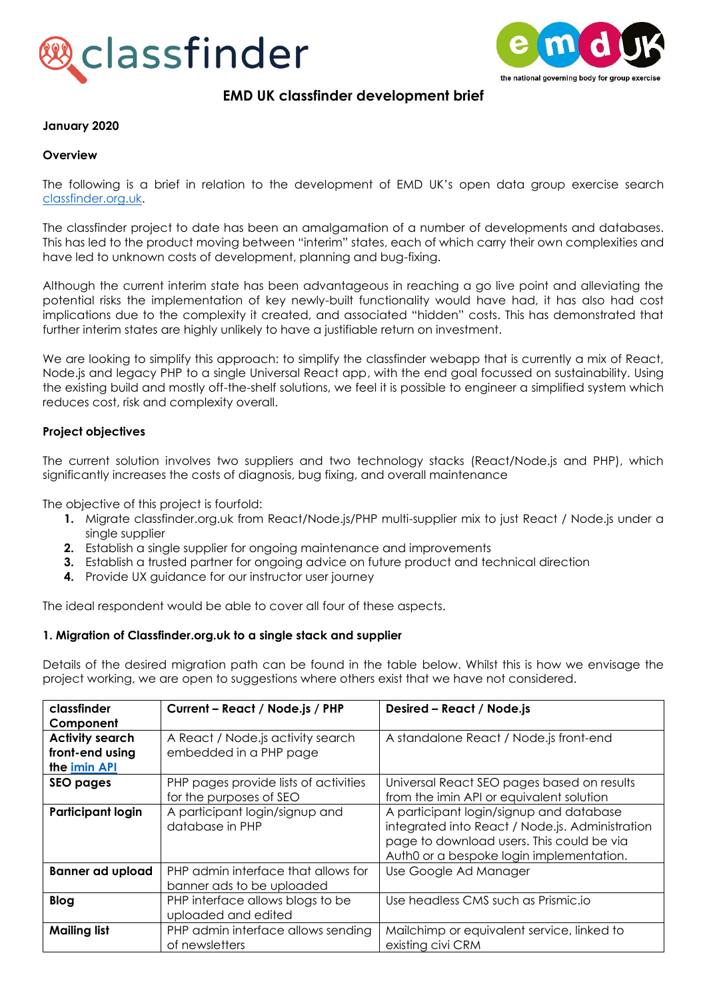



# **EMD UK classfinder development brief**

#### **January 2020**

#### **Overview**

The following is a brief in relation to the development of EMD UK's open data group exercise search [classfinder.org.uk.](http://www.classfinder.org.uk/)

The classfinder project to date has been an amalgamation of a number of developments and databases. This has led to the product moving between "interim" states, each of which carry their own complexities and have led to unknown costs of development, planning and bug-fixing.

Although the current interim state has been advantageous in reaching a go live point and alleviating the potential risks the implementation of key newly-built functionality would have had, it has also had cost implications due to the complexity it created, and associated "hidden" costs. This has demonstrated that further interim states are highly unlikely to have a justifiable return on investment.

We are looking to simplify this approach: to simplify the classfinder webapp that is currently a mix of React, Node.js and legacy PHP to a single Universal React app, with the end goal focussed on sustainability. Using the existing build and mostly off-the-shelf solutions, we feel it is possible to engineer a simplified system which reduces cost, risk and complexity overall.

### **Project objectives**

The current solution involves two suppliers and two technology stacks (React/Node.js and PHP), which significantly increases the costs of diagnosis, bug fixing, and overall maintenance

The objective of this project is fourfold:

- **1.** Migrate classfinder.org.uk from React/Node.js/PHP multi-supplier mix to just React / Node.js under a single supplier
- **2.** Establish a single supplier for ongoing maintenance and improvements
- **3.** Establish a trusted partner for ongoing advice on future product and technical direction
- **4.** Provide UX guidance for our instructor user journey

The ideal respondent would be able to cover all four of these aspects.

### **1. Migration of Classfinder.org.uk to a single stack and supplier**

Details of the desired migration path can be found in the table below. Whilst this is how we envisage the project working, we are open to suggestions where others exist that we have not considered.

| classfinder              | Current - React / Node.js / PHP                                  | Desired - React / Node.js                                                                                                                                                           |
|--------------------------|------------------------------------------------------------------|-------------------------------------------------------------------------------------------------------------------------------------------------------------------------------------|
| Component                |                                                                  |                                                                                                                                                                                     |
| <b>Activity search</b>   | A React / Node.js activity search                                | A standalone React / Node.js front-end                                                                                                                                              |
| front-end using          | embedded in a PHP page                                           |                                                                                                                                                                                     |
| the imin API             |                                                                  |                                                                                                                                                                                     |
| <b>SEO pages</b>         | PHP pages provide lists of activities                            | Universal React SEO pages based on results                                                                                                                                          |
|                          | for the purposes of SEO                                          | from the imin API or equivalent solution                                                                                                                                            |
| <b>Participant login</b> | A participant login/signup and<br>database in PHP                | A participant login/signup and database<br>integrated into React / Node.js. Administration<br>page to download users. This could be via<br>Auth0 or a bespoke login implementation. |
| <b>Banner ad upload</b>  | PHP admin interface that allows for<br>banner ads to be uploaded | Use Google Ad Manager                                                                                                                                                               |
| <b>Blog</b>              | PHP interface allows blogs to be<br>uploaded and edited          | Use headless CMS such as Prismic.io                                                                                                                                                 |
| <b>Mailing list</b>      | PHP admin interface allows sending<br>of newsletters             | Mailchimp or equivalent service, linked to<br>existing civi CRM                                                                                                                     |